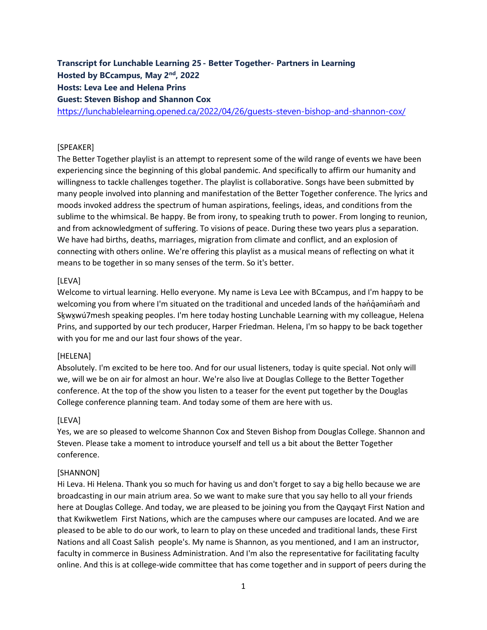# **Transcript for Lunchable Learning 25- Better Together- Partners in Learning Hosted by BCcampus, May 2nd, 2022**

## **Hosts: Leva Lee and Helena Prins**

**Guest: Steven Bishop and Shannon Cox**

<https://lunchablelearning.opened.ca/2022/04/26/guests-steven-bishop-and-shannon-cox/>

### [SPEAKER]

The Better Together playlist is an attempt to represent some of the wild range of events we have been experiencing since the beginning of this global pandemic. And specifically to affirm our humanity and willingness to tackle challenges together. The playlist is collaborative. Songs have been submitted by many people involved into planning and manifestation of the Better Together conference. The lyrics and moods invoked address the spectrum of human aspirations, feelings, ideas, and conditions from the sublime to the whimsical. Be happy. Be from irony, to speaking truth to power. From longing to reunion, and from acknowledgment of suffering. To visions of peace. During these two years plus a separation. We have had births, deaths, marriages, migration from climate and conflict, and an explosion of connecting with others online. We're offering this playlist as a musical means of reflecting on what it means to be together in so many senses of the term. So it's better.

### [LEVA]

Welcome to virtual learning. Hello everyone. My name is Leva Lee with BCcampus, and I'm happy to be welcoming you from where I'm situated on the traditional and unceded lands of the hand in and Skwxwú7mesh speaking peoples. I'm here today hosting Lunchable Learning with my colleague, Helena Prins, and supported by our tech producer, Harper Friedman. Helena, I'm so happy to be back together with you for me and our last four shows of the year.

### [HELENA]

Absolutely. I'm excited to be here too. And for our usual listeners, today is quite special. Not only will we, will we be on air for almost an hour. We're also live at Douglas College to the Better Together conference. At the top of the show you listen to a teaser for the event put together by the Douglas College conference planning team. And today some of them are here with us.

### [LEVA]

Yes, we are so pleased to welcome Shannon Cox and Steven Bishop from Douglas College. Shannon and Steven. Please take a moment to introduce yourself and tell us a bit about the Better Together conference.

### [SHANNON]

Hi Leva. Hi Helena. Thank you so much for having us and don't forget to say a big hello because we are broadcasting in our main atrium area. So we want to make sure that you say hello to all your friends here at Douglas College. And today, we are pleased to be joining you from the Qayqayt First Nation and that Kwikwetlem First Nations, which are the campuses where our campuses are located. And we are pleased to be able to do our work, to learn to play on these unceded and traditional lands, these First Nations and all Coast Salish people's. My name is Shannon, as you mentioned, and I am an instructor, faculty in commerce in Business Administration. And I'm also the representative for facilitating faculty online. And this is at college-wide committee that has come together and in support of peers during the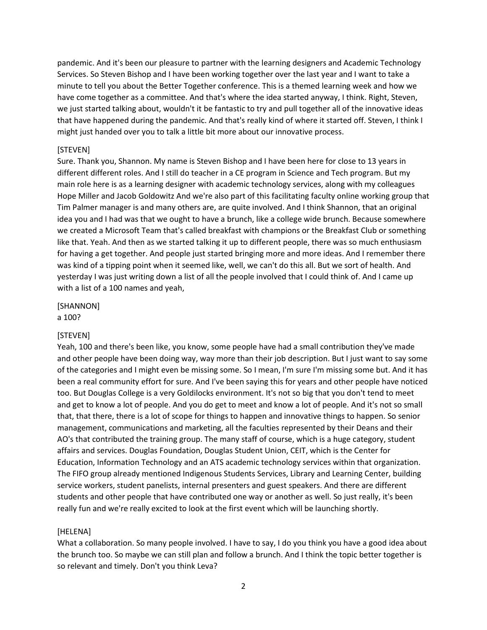pandemic. And it's been our pleasure to partner with the learning designers and Academic Technology Services. So Steven Bishop and I have been working together over the last year and I want to take a minute to tell you about the Better Together conference. This is a themed learning week and how we have come together as a committee. And that's where the idea started anyway, I think. Right, Steven, we just started talking about, wouldn't it be fantastic to try and pull together all of the innovative ideas that have happened during the pandemic. And that's really kind of where it started off. Steven, I think I might just handed over you to talk a little bit more about our innovative process.

#### [STEVEN]

Sure. Thank you, Shannon. My name is Steven Bishop and I have been here for close to 13 years in different different roles. And I still do teacher in a CE program in Science and Tech program. But my main role here is as a learning designer with academic technology services, along with my colleagues Hope Miller and Jacob Goldowitz And we're also part of this facilitating faculty online working group that Tim Palmer manager is and many others are, are quite involved. And I think Shannon, that an original idea you and I had was that we ought to have a brunch, like a college wide brunch. Because somewhere we created a Microsoft Team that's called breakfast with champions or the Breakfast Club or something like that. Yeah. And then as we started talking it up to different people, there was so much enthusiasm for having a get together. And people just started bringing more and more ideas. And I remember there was kind of a tipping point when it seemed like, well, we can't do this all. But we sort of health. And yesterday I was just writing down a list of all the people involved that I could think of. And I came up with a list of a 100 names and yeah,

[SHANNON] a 100?

#### [STEVEN]

Yeah, 100 and there's been like, you know, some people have had a small contribution they've made and other people have been doing way, way more than their job description. But I just want to say some of the categories and I might even be missing some. So I mean, I'm sure I'm missing some but. And it has been a real community effort for sure. And I've been saying this for years and other people have noticed too. But Douglas College is a very Goldilocks environment. It's not so big that you don't tend to meet and get to know a lot of people. And you do get to meet and know a lot of people. And it's not so small that, that there, there is a lot of scope for things to happen and innovative things to happen. So senior management, communications and marketing, all the faculties represented by their Deans and their AO's that contributed the training group. The many staff of course, which is a huge category, student affairs and services. Douglas Foundation, Douglas Student Union, CEIT, which is the Center for Education, Information Technology and an ATS academic technology services within that organization. The FIFO group already mentioned Indigenous Students Services, Library and Learning Center, building service workers, student panelists, internal presenters and guest speakers. And there are different students and other people that have contributed one way or another as well. So just really, it's been really fun and we're really excited to look at the first event which will be launching shortly.

#### [HELENA]

What a collaboration. So many people involved. I have to say, I do you think you have a good idea about the brunch too. So maybe we can still plan and follow a brunch. And I think the topic better together is so relevant and timely. Don't you think Leva?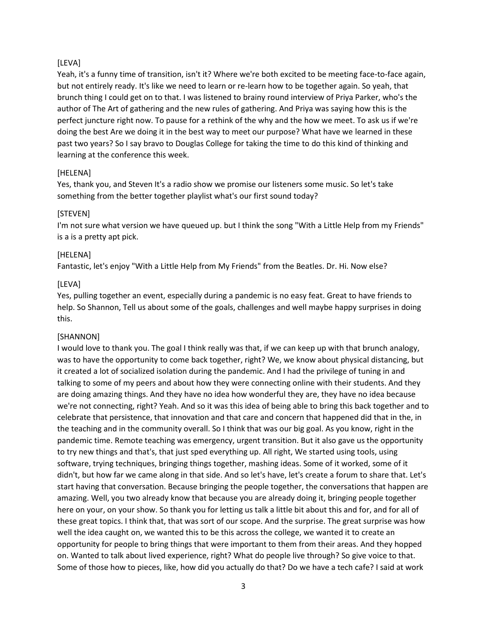### [LEVA]

Yeah, it's a funny time of transition, isn't it? Where we're both excited to be meeting face-to-face again, but not entirely ready. It's like we need to learn or re-learn how to be together again. So yeah, that brunch thing I could get on to that. I was listened to brainy round interview of Priya Parker, who's the author of The Art of gathering and the new rules of gathering. And Priya was saying how this is the perfect juncture right now. To pause for a rethink of the why and the how we meet. To ask us if we're doing the best Are we doing it in the best way to meet our purpose? What have we learned in these past two years? So I say bravo to Douglas College for taking the time to do this kind of thinking and learning at the conference this week.

### [HELENA]

Yes, thank you, and Steven It's a radio show we promise our listeners some music. So let's take something from the better together playlist what's our first sound today?

### [STEVEN]

I'm not sure what version we have queued up. but I think the song "With a Little Help from my Friends" is a is a pretty apt pick.

### [HELENA]

Fantastic, let's enjoy "With a Little Help from My Friends" from the Beatles. Dr. Hi. Now else?

### [LEVA]

Yes, pulling together an event, especially during a pandemic is no easy feat. Great to have friends to help. So Shannon, Tell us about some of the goals, challenges and well maybe happy surprises in doing this.

## [SHANNON]

I would love to thank you. The goal I think really was that, if we can keep up with that brunch analogy, was to have the opportunity to come back together, right? We, we know about physical distancing, but it created a lot of socialized isolation during the pandemic. And I had the privilege of tuning in and talking to some of my peers and about how they were connecting online with their students. And they are doing amazing things. And they have no idea how wonderful they are, they have no idea because we're not connecting, right? Yeah. And so it was this idea of being able to bring this back together and to celebrate that persistence, that innovation and that care and concern that happened did that in the, in the teaching and in the community overall. So I think that was our big goal. As you know, right in the pandemic time. Remote teaching was emergency, urgent transition. But it also gave us the opportunity to try new things and that's, that just sped everything up. All right, We started using tools, using software, trying techniques, bringing things together, mashing ideas. Some of it worked, some of it didn't, but how far we came along in that side. And so let's have, let's create a forum to share that. Let's start having that conversation. Because bringing the people together, the conversations that happen are amazing. Well, you two already know that because you are already doing it, bringing people together here on your, on your show. So thank you for letting us talk a little bit about this and for, and for all of these great topics. I think that, that was sort of our scope. And the surprise. The great surprise was how well the idea caught on, we wanted this to be this across the college, we wanted it to create an opportunity for people to bring things that were important to them from their areas. And they hopped on. Wanted to talk about lived experience, right? What do people live through? So give voice to that. Some of those how to pieces, like, how did you actually do that? Do we have a tech cafe? I said at work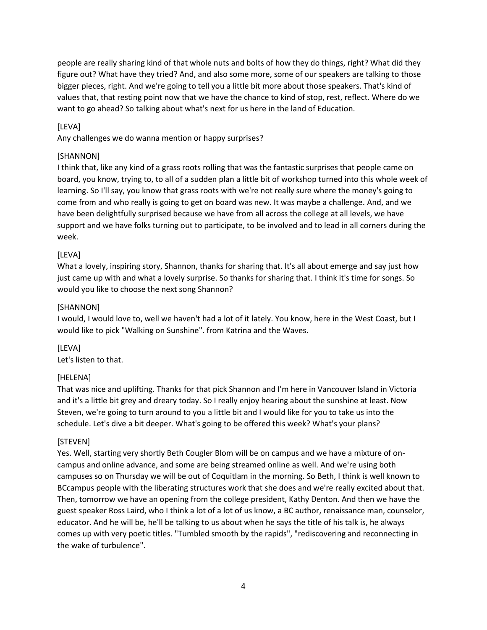people are really sharing kind of that whole nuts and bolts of how they do things, right? What did they figure out? What have they tried? And, and also some more, some of our speakers are talking to those bigger pieces, right. And we're going to tell you a little bit more about those speakers. That's kind of values that, that resting point now that we have the chance to kind of stop, rest, reflect. Where do we want to go ahead? So talking about what's next for us here in the land of Education.

## [LEVA]

Any challenges we do wanna mention or happy surprises?

### [SHANNON]

I think that, like any kind of a grass roots rolling that was the fantastic surprises that people came on board, you know, trying to, to all of a sudden plan a little bit of workshop turned into this whole week of learning. So I'll say, you know that grass roots with we're not really sure where the money's going to come from and who really is going to get on board was new. It was maybe a challenge. And, and we have been delightfully surprised because we have from all across the college at all levels, we have support and we have folks turning out to participate, to be involved and to lead in all corners during the week.

### [LEVA]

What a lovely, inspiring story, Shannon, thanks for sharing that. It's all about emerge and say just how just came up with and what a lovely surprise. So thanks for sharing that. I think it's time for songs. So would you like to choose the next song Shannon?

### [SHANNON]

I would, I would love to, well we haven't had a lot of it lately. You know, here in the West Coast, but I would like to pick "Walking on Sunshine". from Katrina and the Waves.

[LEVA] Let's listen to that.

### [HELENA]

That was nice and uplifting. Thanks for that pick Shannon and I'm here in Vancouver Island in Victoria and it's a little bit grey and dreary today. So I really enjoy hearing about the sunshine at least. Now Steven, we're going to turn around to you a little bit and I would like for you to take us into the schedule. Let's dive a bit deeper. What's going to be offered this week? What's your plans?

### [STEVEN]

Yes. Well, starting very shortly Beth Cougler Blom will be on campus and we have a mixture of oncampus and online advance, and some are being streamed online as well. And we're using both campuses so on Thursday we will be out of Coquitlam in the morning. So Beth, I think is well known to BCcampus people with the liberating structures work that she does and we're really excited about that. Then, tomorrow we have an opening from the college president, Kathy Denton. And then we have the guest speaker Ross Laird, who I think a lot of a lot of us know, a BC author, renaissance man, counselor, educator. And he will be, he'll be talking to us about when he says the title of his talk is, he always comes up with very poetic titles. "Tumbled smooth by the rapids", "rediscovering and reconnecting in the wake of turbulence".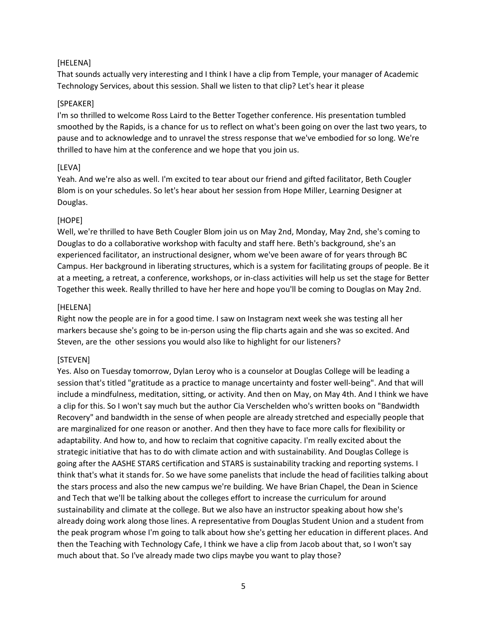#### [HELENA]

That sounds actually very interesting and I think I have a clip from Temple, your manager of Academic Technology Services, about this session. Shall we listen to that clip? Let's hear it please

#### [SPEAKER]

I'm so thrilled to welcome Ross Laird to the Better Together conference. His presentation tumbled smoothed by the Rapids, is a chance for us to reflect on what's been going on over the last two years, to pause and to acknowledge and to unravel the stress response that we've embodied for so long. We're thrilled to have him at the conference and we hope that you join us.

#### [LEVA]

Yeah. And we're also as well. I'm excited to tear about our friend and gifted facilitator, Beth Cougler Blom is on your schedules. So let's hear about her session from Hope Miller, Learning Designer at Douglas.

#### [HOPE]

Well, we're thrilled to have Beth Cougler Blom join us on May 2nd, Monday, May 2nd, she's coming to Douglas to do a collaborative workshop with faculty and staff here. Beth's background, she's an experienced facilitator, an instructional designer, whom we've been aware of for years through BC Campus. Her background in liberating structures, which is a system for facilitating groups of people. Be it at a meeting, a retreat, a conference, workshops, or in-class activities will help us set the stage for Better Together this week. Really thrilled to have her here and hope you'll be coming to Douglas on May 2nd.

#### [HELENA]

Right now the people are in for a good time. I saw on Instagram next week she was testing all her markers because she's going to be in-person using the flip charts again and she was so excited. And Steven, are the other sessions you would also like to highlight for our listeners?

#### [STEVEN]

Yes. Also on Tuesday tomorrow, Dylan Leroy who is a counselor at Douglas College will be leading a session that's titled "gratitude as a practice to manage uncertainty and foster well-being". And that will include a mindfulness, meditation, sitting, or activity. And then on May, on May 4th. And I think we have a clip for this. So I won't say much but the author Cia Verschelden who's written books on "Bandwidth Recovery" and bandwidth in the sense of when people are already stretched and especially people that are marginalized for one reason or another. And then they have to face more calls for flexibility or adaptability. And how to, and how to reclaim that cognitive capacity. I'm really excited about the strategic initiative that has to do with climate action and with sustainability. And Douglas College is going after the AASHE STARS certification and STARS is sustainability tracking and reporting systems. I think that's what it stands for. So we have some panelists that include the head of facilities talking about the stars process and also the new campus we're building. We have Brian Chapel, the Dean in Science and Tech that we'll be talking about the colleges effort to increase the curriculum for around sustainability and climate at the college. But we also have an instructor speaking about how she's already doing work along those lines. A representative from Douglas Student Union and a student from the peak program whose I'm going to talk about how she's getting her education in different places. And then the Teaching with Technology Cafe, I think we have a clip from Jacob about that, so I won't say much about that. So I've already made two clips maybe you want to play those?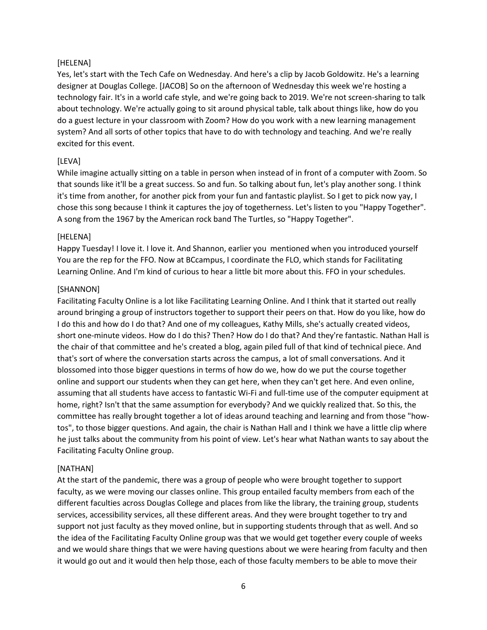#### [HELENA]

Yes, let's start with the Tech Cafe on Wednesday. And here's a clip by Jacob Goldowitz. He's a learning designer at Douglas College. [JACOB] So on the afternoon of Wednesday this week we're hosting a technology fair. It's in a world cafe style, and we're going back to 2019. We're not screen-sharing to talk about technology. We're actually going to sit around physical table, talk about things like, how do you do a guest lecture in your classroom with Zoom? How do you work with a new learning management system? And all sorts of other topics that have to do with technology and teaching. And we're really excited for this event.

### [LEVA]

While imagine actually sitting on a table in person when instead of in front of a computer with Zoom. So that sounds like it'll be a great success. So and fun. So talking about fun, let's play another song. I think it's time from another, for another pick from your fun and fantastic playlist. So I get to pick now yay, I chose this song because I think it captures the joy of togetherness. Let's listen to you "Happy Together". A song from the 1967 by the American rock band The Turtles, so "Happy Together".

#### [HELENA]

Happy Tuesday! I love it. I love it. And Shannon, earlier you mentioned when you introduced yourself You are the rep for the FFO. Now at BCcampus, I coordinate the FLO, which stands for Facilitating Learning Online. And I'm kind of curious to hear a little bit more about this. FFO in your schedules.

#### [SHANNON]

Facilitating Faculty Online is a lot like Facilitating Learning Online. And I think that it started out really around bringing a group of instructors together to support their peers on that. How do you like, how do I do this and how do I do that? And one of my colleagues, Kathy Mills, she's actually created videos, short one-minute videos. How do I do this? Then? How do I do that? And they're fantastic. Nathan Hall is the chair of that committee and he's created a blog, again piled full of that kind of technical piece. And that's sort of where the conversation starts across the campus, a lot of small conversations. And it blossomed into those bigger questions in terms of how do we, how do we put the course together online and support our students when they can get here, when they can't get here. And even online, assuming that all students have access to fantastic Wi-Fi and full-time use of the computer equipment at home, right? Isn't that the same assumption for everybody? And we quickly realized that. So this, the committee has really brought together a lot of ideas around teaching and learning and from those "howtos", to those bigger questions. And again, the chair is Nathan Hall and I think we have a little clip where he just talks about the community from his point of view. Let's hear what Nathan wants to say about the Facilitating Faculty Online group.

### [NATHAN]

At the start of the pandemic, there was a group of people who were brought together to support faculty, as we were moving our classes online. This group entailed faculty members from each of the different faculties across Douglas College and places from like the library, the training group, students services, accessibility services, all these different areas. And they were brought together to try and support not just faculty as they moved online, but in supporting students through that as well. And so the idea of the Facilitating Faculty Online group was that we would get together every couple of weeks and we would share things that we were having questions about we were hearing from faculty and then it would go out and it would then help those, each of those faculty members to be able to move their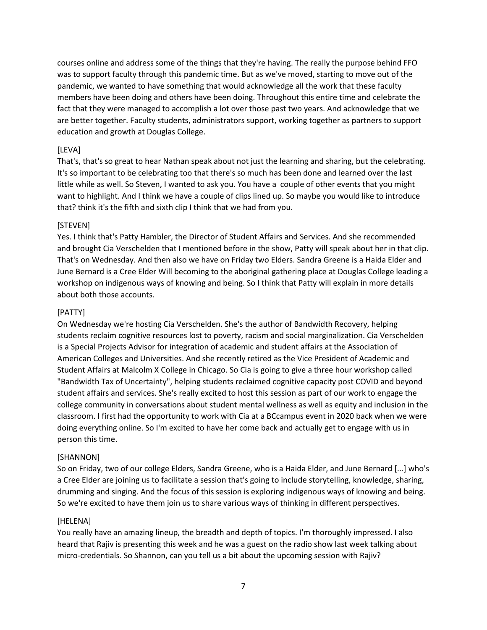courses online and address some of the things that they're having. The really the purpose behind FFO was to support faculty through this pandemic time. But as we've moved, starting to move out of the pandemic, we wanted to have something that would acknowledge all the work that these faculty members have been doing and others have been doing. Throughout this entire time and celebrate the fact that they were managed to accomplish a lot over those past two years. And acknowledge that we are better together. Faculty students, administrators support, working together as partners to support education and growth at Douglas College.

### [LEVA]

That's, that's so great to hear Nathan speak about not just the learning and sharing, but the celebrating. It's so important to be celebrating too that there's so much has been done and learned over the last little while as well. So Steven, I wanted to ask you. You have a couple of other events that you might want to highlight. And I think we have a couple of clips lined up. So maybe you would like to introduce that? think it's the fifth and sixth clip I think that we had from you.

### [STEVEN]

Yes. I think that's Patty Hambler, the Director of Student Affairs and Services. And she recommended and brought Cia Verschelden that I mentioned before in the show, Patty will speak about her in that clip. That's on Wednesday. And then also we have on Friday two Elders. Sandra Greene is a Haida Elder and June Bernard is a Cree Elder Will becoming to the aboriginal gathering place at Douglas College leading a workshop on indigenous ways of knowing and being. So I think that Patty will explain in more details about both those accounts.

## [PATTY]

On Wednesday we're hosting Cia Verschelden. She's the author of Bandwidth Recovery, helping students reclaim cognitive resources lost to poverty, racism and social marginalization. Cia Verschelden is a Special Projects Advisor for integration of academic and student affairs at the Association of American Colleges and Universities. And she recently retired as the Vice President of Academic and Student Affairs at Malcolm X College in Chicago. So Cia is going to give a three hour workshop called "Bandwidth Tax of Uncertainty", helping students reclaimed cognitive capacity post COVID and beyond student affairs and services. She's really excited to host this session as part of our work to engage the college community in conversations about student mental wellness as well as equity and inclusion in the classroom. I first had the opportunity to work with Cia at a BCcampus event in 2020 back when we were doing everything online. So I'm excited to have her come back and actually get to engage with us in person this time.

### [SHANNON]

So on Friday, two of our college Elders, Sandra Greene, who is a Haida Elder, and June Bernard [...] who's a Cree Elder are joining us to facilitate a session that's going to include storytelling, knowledge, sharing, drumming and singing. And the focus of this session is exploring indigenous ways of knowing and being. So we're excited to have them join us to share various ways of thinking in different perspectives.

### [HELENA]

You really have an amazing lineup, the breadth and depth of topics. I'm thoroughly impressed. I also heard that Rajiv is presenting this week and he was a guest on the radio show last week talking about micro-credentials. So Shannon, can you tell us a bit about the upcoming session with Rajiv?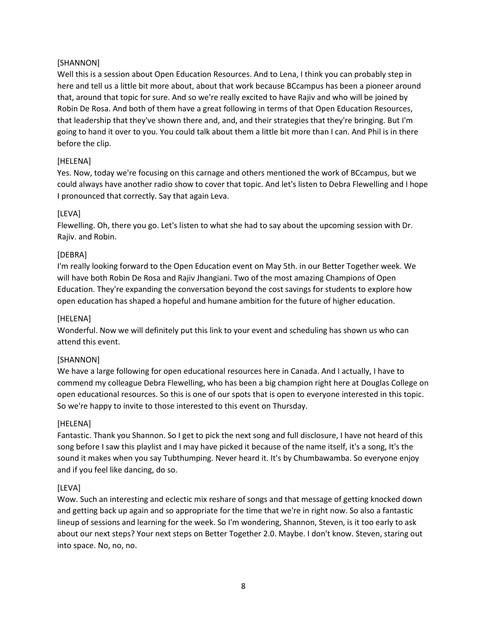### [SHANNON]

Well this is a session about Open Education Resources. And to Lena, I think you can probably step in here and tell us a little bit more about, about that work because BCcampus has been a pioneer around that, around that topic for sure. And so we're really excited to have Rajiv and who will be joined by Robin De Rosa. And both of them have a great following in terms of that Open Education Resources, that leadership that they've shown there and, and, and their strategies that they're bringing. But I'm going to hand it over to you. You could talk about them a little bit more than I can. And Phil is in there before the clip.

### [HELENA]

Yes. Now, today we're focusing on this carnage and others mentioned the work of BCcampus, but we could always have another radio show to cover that topic. And let's listen to Debra Flewelling and I hope I pronounced that correctly. Say that again Leva.

### [LEVA]

Flewelling. Oh, there you go. Let's listen to what she had to say about the upcoming session with Dr. Rajiv. and Robin.

### [DEBRA]

I'm really looking forward to the Open Education event on May 5th. in our Better Together week. We will have both Robin De Rosa and Rajiv Jhangiani. Two of the most amazing Champions of Open Education. They're expanding the conversation beyond the cost savings for students to explore how open education has shaped a hopeful and humane ambition for the future of higher education.

### [HELENA]

Wonderful. Now we will definitely put this link to your event and scheduling has shown us who can attend this event.

### [SHANNON]

We have a large following for open educational resources here in Canada. And I actually, I have to commend my colleague Debra Flewelling, who has been a big champion right here at Douglas College on open educational resources. So this is one of our spots that is open to everyone interested in this topic. So we're happy to invite to those interested to this event on Thursday.

### [HELENA]

Fantastic. Thank you Shannon. So I get to pick the next song and full disclosure, I have not heard of this song before I saw this playlist and I may have picked it because of the name itself, it's a song, It's the sound it makes when you say Tubthumping. Never heard it. It's by Chumbawamba. So everyone enjoy and if you feel like dancing, do so.

## [LEVA]

Wow. Such an interesting and eclectic mix reshare of songs and that message of getting knocked down and getting back up again and so appropriate for the time that we're in right now. So also a fantastic lineup of sessions and learning for the week. So I'm wondering, Shannon, Steven, is it too early to ask about our next steps? Your next steps on Better Together 2.0. Maybe. I don't know. Steven, staring out into space. No, no, no.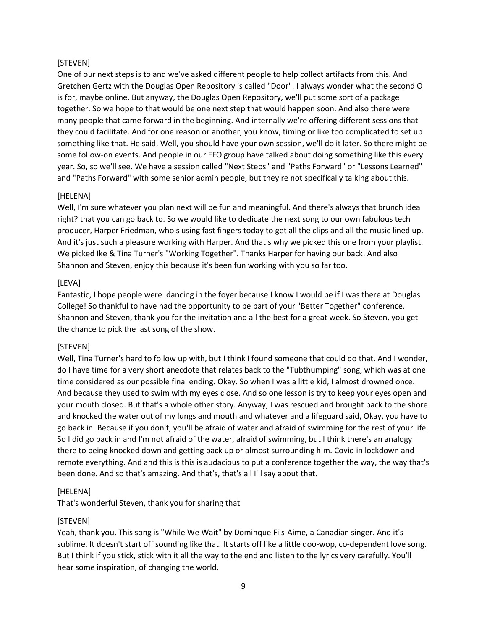### [STEVEN]

One of our next steps is to and we've asked different people to help collect artifacts from this. And Gretchen Gertz with the Douglas Open Repository is called "Door". I always wonder what the second O is for, maybe online. But anyway, the Douglas Open Repository, we'll put some sort of a package together. So we hope to that would be one next step that would happen soon. And also there were many people that came forward in the beginning. And internally we're offering different sessions that they could facilitate. And for one reason or another, you know, timing or like too complicated to set up something like that. He said, Well, you should have your own session, we'll do it later. So there might be some follow-on events. And people in our FFO group have talked about doing something like this every year. So, so we'll see. We have a session called "Next Steps" and "Paths Forward" or "Lessons Learned" and "Paths Forward" with some senior admin people, but they're not specifically talking about this.

### [HELENA]

Well, I'm sure whatever you plan next will be fun and meaningful. And there's always that brunch idea right? that you can go back to. So we would like to dedicate the next song to our own fabulous tech producer, Harper Friedman, who's using fast fingers today to get all the clips and all the music lined up. And it's just such a pleasure working with Harper. And that's why we picked this one from your playlist. We picked Ike & Tina Turner's "Working Together". Thanks Harper for having our back. And also Shannon and Steven, enjoy this because it's been fun working with you so far too.

### [LEVA]

Fantastic, I hope people were dancing in the foyer because I know I would be if I was there at Douglas College! So thankful to have had the opportunity to be part of your "Better Together" conference. Shannon and Steven, thank you for the invitation and all the best for a great week. So Steven, you get the chance to pick the last song of the show.

### [STEVEN]

Well, Tina Turner's hard to follow up with, but I think I found someone that could do that. And I wonder, do I have time for a very short anecdote that relates back to the "Tubthumping" song, which was at one time considered as our possible final ending. Okay. So when I was a little kid, I almost drowned once. And because they used to swim with my eyes close. And so one lesson is try to keep your eyes open and your mouth closed. But that's a whole other story. Anyway, I was rescued and brought back to the shore and knocked the water out of my lungs and mouth and whatever and a lifeguard said, Okay, you have to go back in. Because if you don't, you'll be afraid of water and afraid of swimming for the rest of your life. So I did go back in and I'm not afraid of the water, afraid of swimming, but I think there's an analogy there to being knocked down and getting back up or almost surrounding him. Covid in lockdown and remote everything. And and this is this is audacious to put a conference together the way, the way that's been done. And so that's amazing. And that's, that's all I'll say about that.

### [HELENA]

That's wonderful Steven, thank you for sharing that

### [STEVEN]

Yeah, thank you. This song is "While We Wait" by Dominque Fils-Aime, a Canadian singer. And it's sublime. It doesn't start off sounding like that. It starts off like a little doo-wop, co-dependent love song. But I think if you stick, stick with it all the way to the end and listen to the lyrics very carefully. You'll hear some inspiration, of changing the world.